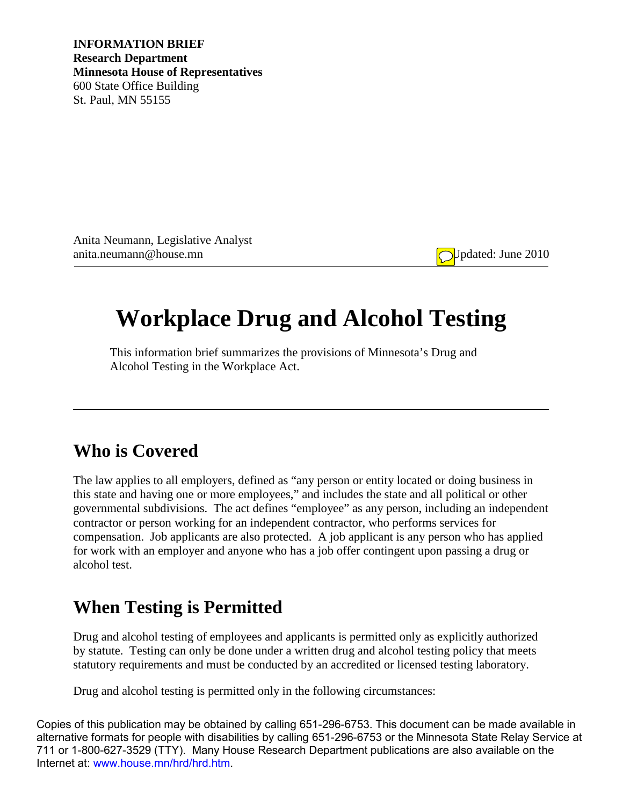**INFORMATION BRIEF Research Department Minnesota House of Representatives** 600 State Office Building St. Paul, MN 55155

Anita Neumann, Legislative Analyst anita.neumann@house.mn Updated: June 2010

# **Workplace Drug and Alcohol Testing**

This information brief summarizes the provisions of Minnesota's Drug and Alcohol Testing in the Workplace Act.

#### **Who is Covered**

The law applies to all employers, defined as "any person or entity located or doing business in this state and having one or more employees," and includes the state and all political or other governmental subdivisions. The act defines "employee" as any person, including an independent contractor or person working for an independent contractor, who performs services for compensation. Job applicants are also protected. A job applicant is any person who has applied for work with an employer and anyone who has a job offer contingent upon passing a drug or alcohol test.

#### **When Testing is Permitted**

Drug and alcohol testing of employees and applicants is permitted only as explicitly authorized by statute. Testing can only be done under a written drug and alcohol testing policy that meets statutory requirements and must be conducted by an accredited or licensed testing laboratory.

Drug and alcohol testing is permitted only in the following circumstances:

Copies of this publication may be obtained by calling 651-296-6753. This document can be made available in alternative formats for people with disabilities by calling 651-296-6753 or the Minnesota State Relay Service at 711 or 1-800-627-3529 (TTY). Many House Research Department publications are also available on the Internet at: www.house.mn/hrd/hrd.htm.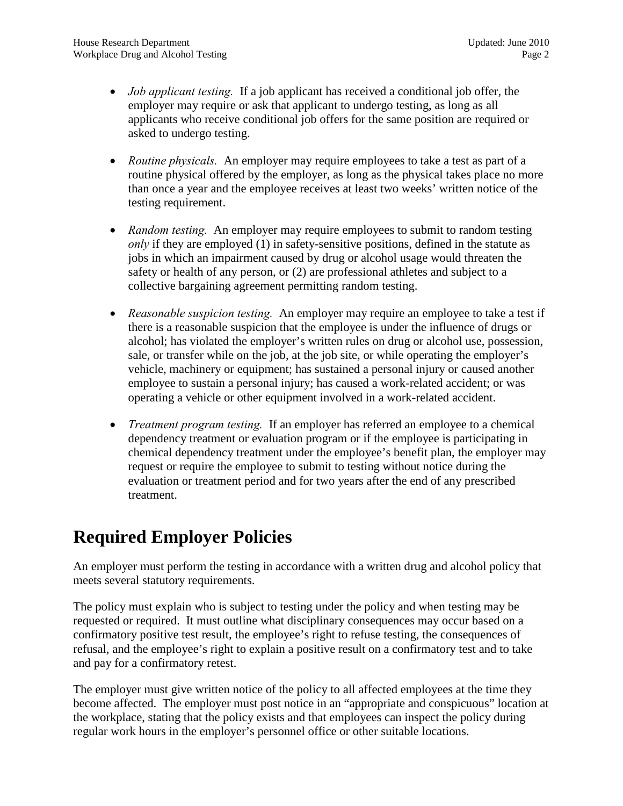- *Job applicant testing.* If a job applicant has received a conditional job offer, the employer may require or ask that applicant to undergo testing, as long as all applicants who receive conditional job offers for the same position are required or asked to undergo testing.
- *Routine physicals.* An employer may require employees to take a test as part of a routine physical offered by the employer, as long as the physical takes place no more than once a year and the employee receives at least two weeks' written notice of the testing requirement.
- *Random testing.* An employer may require employees to submit to random testing *only* if they are employed (1) in safety-sensitive positions, defined in the statute as jobs in which an impairment caused by drug or alcohol usage would threaten the safety or health of any person, or (2) are professional athletes and subject to a collective bargaining agreement permitting random testing.
- *Reasonable suspicion testing.* An employer may require an employee to take a test if there is a reasonable suspicion that the employee is under the influence of drugs or alcohol; has violated the employer's written rules on drug or alcohol use, possession, sale, or transfer while on the job, at the job site, or while operating the employer's vehicle, machinery or equipment; has sustained a personal injury or caused another employee to sustain a personal injury; has caused a work-related accident; or was operating a vehicle or other equipment involved in a work-related accident.
- *Treatment program testing.* If an employer has referred an employee to a chemical dependency treatment or evaluation program or if the employee is participating in chemical dependency treatment under the employee's benefit plan, the employer may request or require the employee to submit to testing without notice during the evaluation or treatment period and for two years after the end of any prescribed treatment.

## **Required Employer Policies**

An employer must perform the testing in accordance with a written drug and alcohol policy that meets several statutory requirements.

The policy must explain who is subject to testing under the policy and when testing may be requested or required. It must outline what disciplinary consequences may occur based on a confirmatory positive test result, the employee's right to refuse testing, the consequences of refusal, and the employee's right to explain a positive result on a confirmatory test and to take and pay for a confirmatory retest.

The employer must give written notice of the policy to all affected employees at the time they become affected. The employer must post notice in an "appropriate and conspicuous" location at the workplace, stating that the policy exists and that employees can inspect the policy during regular work hours in the employer's personnel office or other suitable locations.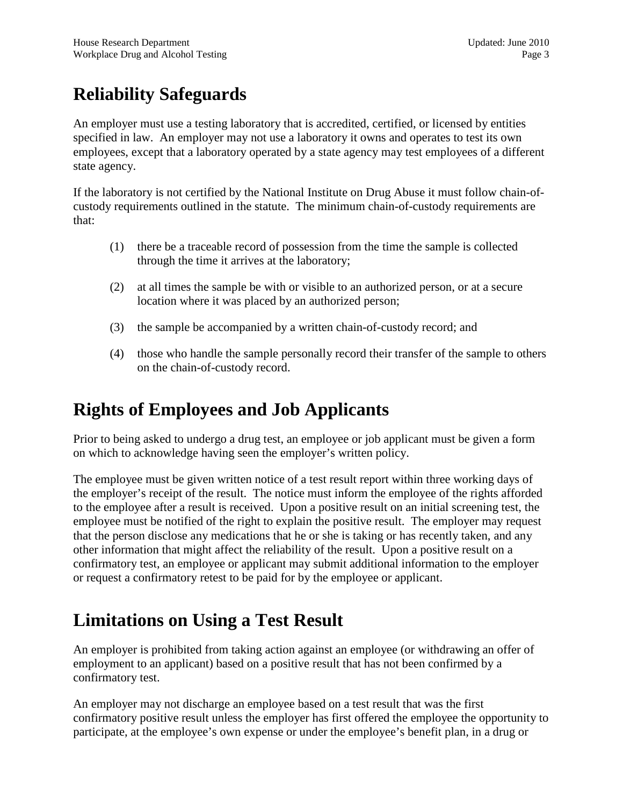# **Reliability Safeguards**

An employer must use a testing laboratory that is accredited, certified, or licensed by entities specified in law. An employer may not use a laboratory it owns and operates to test its own employees, except that a laboratory operated by a state agency may test employees of a different state agency.

If the laboratory is not certified by the National Institute on Drug Abuse it must follow chain-ofcustody requirements outlined in the statute. The minimum chain-of-custody requirements are that:

- (1) there be a traceable record of possession from the time the sample is collected through the time it arrives at the laboratory;
- (2) at all times the sample be with or visible to an authorized person, or at a secure location where it was placed by an authorized person;
- (3) the sample be accompanied by a written chain-of-custody record; and
- (4) those who handle the sample personally record their transfer of the sample to others on the chain-of-custody record.

#### **Rights of Employees and Job Applicants**

Prior to being asked to undergo a drug test, an employee or job applicant must be given a form on which to acknowledge having seen the employer's written policy.

The employee must be given written notice of a test result report within three working days of the employer's receipt of the result. The notice must inform the employee of the rights afforded to the employee after a result is received. Upon a positive result on an initial screening test, the employee must be notified of the right to explain the positive result. The employer may request that the person disclose any medications that he or she is taking or has recently taken, and any other information that might affect the reliability of the result. Upon a positive result on a confirmatory test, an employee or applicant may submit additional information to the employer or request a confirmatory retest to be paid for by the employee or applicant.

#### **Limitations on Using a Test Result**

An employer is prohibited from taking action against an employee (or withdrawing an offer of employment to an applicant) based on a positive result that has not been confirmed by a confirmatory test.

An employer may not discharge an employee based on a test result that was the first confirmatory positive result unless the employer has first offered the employee the opportunity to participate, at the employee's own expense or under the employee's benefit plan, in a drug or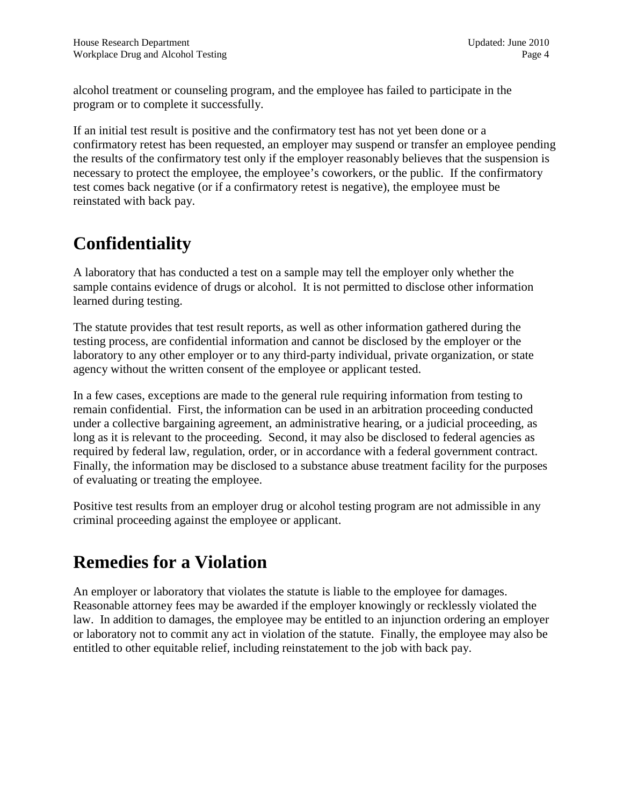alcohol treatment or counseling program, and the employee has failed to participate in the program or to complete it successfully.

If an initial test result is positive and the confirmatory test has not yet been done or a confirmatory retest has been requested, an employer may suspend or transfer an employee pending the results of the confirmatory test only if the employer reasonably believes that the suspension is necessary to protect the employee, the employee's coworkers, or the public. If the confirmatory test comes back negative (or if a confirmatory retest is negative), the employee must be reinstated with back pay.

### **Confidentiality**

A laboratory that has conducted a test on a sample may tell the employer only whether the sample contains evidence of drugs or alcohol. It is not permitted to disclose other information learned during testing.

The statute provides that test result reports, as well as other information gathered during the testing process, are confidential information and cannot be disclosed by the employer or the laboratory to any other employer or to any third-party individual, private organization, or state agency without the written consent of the employee or applicant tested.

In a few cases, exceptions are made to the general rule requiring information from testing to remain confidential. First, the information can be used in an arbitration proceeding conducted under a collective bargaining agreement, an administrative hearing, or a judicial proceeding, as long as it is relevant to the proceeding. Second, it may also be disclosed to federal agencies as required by federal law, regulation, order, or in accordance with a federal government contract. Finally, the information may be disclosed to a substance abuse treatment facility for the purposes of evaluating or treating the employee.

Positive test results from an employer drug or alcohol testing program are not admissible in any criminal proceeding against the employee or applicant.

#### **Remedies for a Violation**

An employer or laboratory that violates the statute is liable to the employee for damages. Reasonable attorney fees may be awarded if the employer knowingly or recklessly violated the law. In addition to damages, the employee may be entitled to an injunction ordering an employer or laboratory not to commit any act in violation of the statute. Finally, the employee may also be entitled to other equitable relief, including reinstatement to the job with back pay.